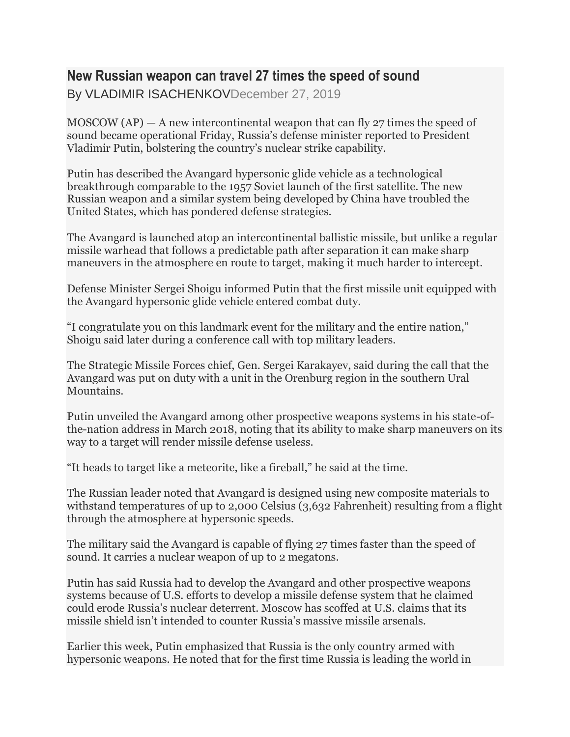## **New Russian weapon can travel 27 times the speed of sound**

By VLADIMIR ISACHENKOVDecember 27, 2019

MOSCOW  $AP$ ) – A new intercontinental weapon that can fly 27 times the speed of sound became operational Friday, Russia's defense minister reported to President Vladimir Putin, bolstering the country's nuclear strike capability.

Putin has described the Avangard hypersonic glide vehicle as a technological breakthrough comparable to the 1957 Soviet launch of the first satellite. The new Russian weapon and a similar system being developed by China have troubled the United States, which has pondered defense strategies.

The Avangard is launched atop an intercontinental ballistic missile, but unlike a regular missile warhead that follows a predictable path after separation it can make sharp maneuvers in the atmosphere en route to target, making it much harder to intercept.

Defense Minister Sergei Shoigu informed Putin that the first missile unit equipped with the Avangard hypersonic glide vehicle entered combat duty.

"I congratulate you on this landmark event for the military and the entire nation," Shoigu said later during a conference call with top military leaders.

The Strategic Missile Forces chief, Gen. Sergei Karakayev, said during the call that the Avangard was put on duty with a unit in the Orenburg region in the southern Ural Mountains.

Putin unveiled the Avangard among other prospective weapons systems in his state-ofthe-nation address in March 2018, noting that its ability to make sharp maneuvers on its way to a target will render missile defense useless.

"It heads to target like a meteorite, like a fireball," he said at the time.

The Russian leader noted that Avangard is designed using new composite materials to withstand temperatures of up to 2,000 Celsius (3,632 Fahrenheit) resulting from a flight through the atmosphere at hypersonic speeds.

The military said the Avangard is capable of flying 27 times faster than the speed of sound. It carries a nuclear weapon of up to 2 megatons.

Putin has said Russia had to develop the Avangard and other prospective weapons systems because of U.S. efforts to develop a missile defense system that he claimed could erode Russia's nuclear deterrent. Moscow has scoffed at U.S. claims that its missile shield isn't intended to counter Russia's massive missile arsenals.

Earlier this week, Putin emphasized that Russia is the only country armed with hypersonic weapons. He noted that for the first time Russia is leading the world in